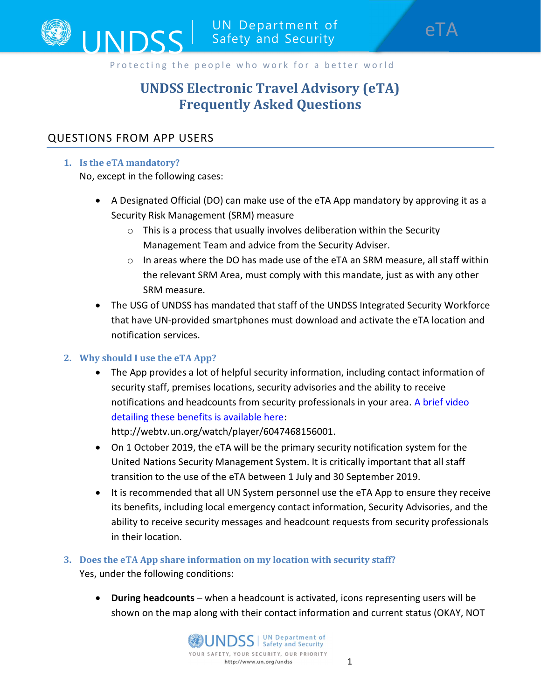

# UNDSS Electronic Travel Advisory (eTA) Frequently Asked Questions

# QUESTIONS FROM APP USERS

### 1. Is the eTA mandatory?

No, except in the following cases:

- A Designated Official (DO) can make use of the eTA App mandatory by approving it as a Security Risk Management (SRM) measure
	- $\circ$  This is a process that usually involves deliberation within the Security Management Team and advice from the Security Adviser.
	- $\circ$  In areas where the DO has made use of the eTA an SRM measure, all staff within the relevant SRM Area, must comply with this mandate, just as with any other SRM measure.
- The USG of UNDSS has mandated that staff of the UNDSS Integrated Security Workforce that have UN-provided smartphones must download and activate the eTA location and notification services.

# 2. Why should I use the eTA App?

 The App provides a lot of helpful security information, including contact information of security staff, premises locations, security advisories and the ability to receive notifications and headcounts from security professionals in your area. A brief video detailing these benefits is available here:

http://webtv.un.org/watch/player/6047468156001.

- On 1 October 2019, the eTA will be the primary security notification system for the United Nations Security Management System. It is critically important that all staff transition to the use of the eTA between 1 July and 30 September 2019.
- It is recommended that all UN System personnel use the eTA App to ensure they receive its benefits, including local emergency contact information, Security Advisories, and the ability to receive security messages and headcount requests from security professionals in their location.

# 3. Does the eTA App share information on my location with security staff?

Yes, under the following conditions:

 During headcounts – when a headcount is activated, icons representing users will be shown on the map along with their contact information and current status (OKAY, NOT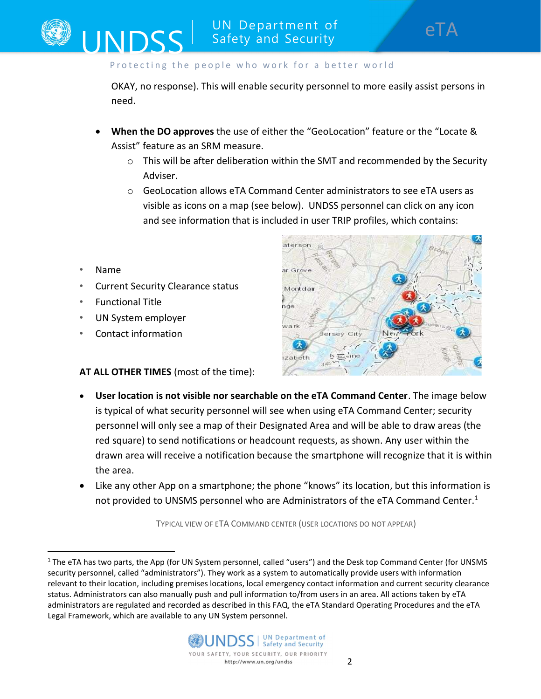OKAY, no response). This will enable security personnel to more easily assist persons in need.

- When the DO approves the use of either the "GeoLocation" feature or the "Locate & Assist" feature as an SRM measure.
	- $\circ$  This will be after deliberation within the SMT and recommended by the Security Adviser.
	- $\circ$  GeoLocation allows eTA Command Center administrators to see eTA users as visible as icons on a map (see below). UNDSS personnel can click on any icon and see information that is included in user TRIP profiles, which contains:
- Name

• Current Security Clearance status

UNDSS

- Functional Title
- UN System employer
- Contact information

AT ALL OTHER TIMES (most of the time):

- aterson ar Grove Montdair nde wark ersey City ۸ **5 三me** izabeth
- User location is not visible nor searchable on the eTA Command Center. The image below is typical of what security personnel will see when using eTA Command Center; security personnel will only see a map of their Designated Area and will be able to draw areas (the red square) to send notifications or headcount requests, as shown. Any user within the drawn area will receive a notification because the smartphone will recognize that it is within the area.
- Like any other App on a smartphone; the phone "knows" its location, but this information is not provided to UNSMS personnel who are Administrators of the eTA Command Center.<sup>1</sup>

TYPICAL VIEW OF ETA COMMAND CENTER (USER LOCATIONS DO NOT APPEAR)

<sup>&</sup>lt;sup>1</sup> The eTA has two parts, the App (for UN System personnel, called "users") and the Desk top Command Center (for UNSMS security personnel, called "administrators"). They work as a system to automatically provide users with information relevant to their location, including premises locations, local emergency contact information and current security clearance status. Administrators can also manually push and pull information to/from users in an area. All actions taken by eTA administrators are regulated and recorded as described in this FAQ, the eTA Standard Operating Procedures and the eTA Legal Framework, which are available to any UN System personnel.

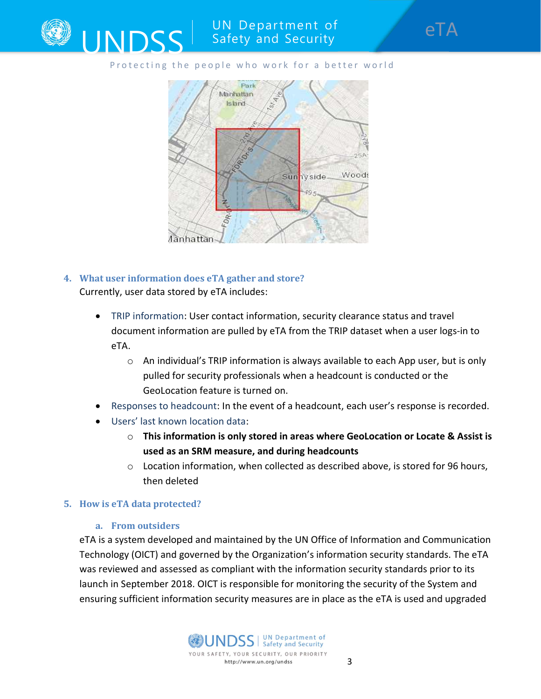

# UN Department of Safety and Security

### Protecting the people who work for a better world



- 4. What user information does eTA gather and store? Currently, user data stored by eTA includes:
	- TRIP information: User contact information, security clearance status and travel document information are pulled by eTA from the TRIP dataset when a user logs-in to eTA.
		- $\circ$  An individual's TRIP information is always available to each App user, but is only pulled for security professionals when a headcount is conducted or the GeoLocation feature is turned on.
	- Responses to headcount: In the event of a headcount, each user's response is recorded.
	- Users' last known location data:
		- $\circ$  This information is only stored in areas where GeoLocation or Locate & Assist is used as an SRM measure, and during headcounts
		- o Location information, when collected as described above, is stored for 96 hours, then deleted

### 5. How is eTA data protected?

### a. From outsiders

eTA is a system developed and maintained by the UN Office of Information and Communication Technology (OICT) and governed by the Organization's information security standards. The eTA was reviewed and assessed as compliant with the information security standards prior to its launch in September 2018. OICT is responsible for monitoring the security of the System and ensuring sufficient information security measures are in place as the eTA is used and upgraded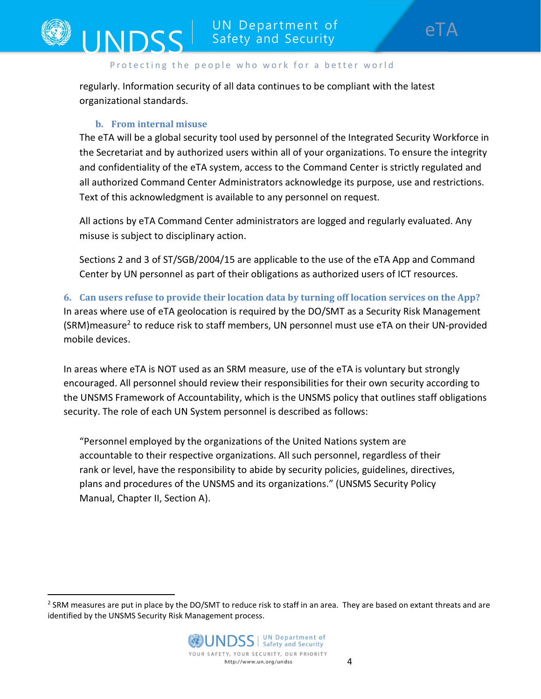regularly. Information security of all data continues to be compliant with the latest organizational standards.

### b. From internal misuse

INDSS

The eTA will be a global security tool used by personnel of the Integrated Security Workforce in the Secretariat and by authorized users within all of your organizations. To ensure the integrity and confidentiality of the eTA system, access to the Command Center is strictly regulated and all authorized Command Center Administrators acknowledge its purpose, use and restrictions. Text of this acknowledgment is available to any personnel on request.

All actions by eTA Command Center administrators are logged and regularly evaluated. Any misuse is subject to disciplinary action.

Sections 2 and 3 of ST/SGB/2004/15 are applicable to the use of the eTA App and Command Center by UN personnel as part of their obligations as authorized users of ICT resources.

# 6. Can users refuse to provide their location data by turning off location services on the App? In areas where use of eTA geolocation is required by the DO/SMT as a Security Risk Management (SRM)measure<sup>2</sup> to reduce risk to staff members, UN personnel must use eTA on their UN-provided mobile devices.

In areas where eTA is NOT used as an SRM measure, use of the eTA is voluntary but strongly encouraged. All personnel should review their responsibilities for their own security according to the UNSMS Framework of Accountability, which is the UNSMS policy that outlines staff obligations security. The role of each UN System personnel is described as follows:

"Personnel employed by the organizations of the United Nations system are accountable to their respective organizations. All such personnel, regardless of their rank or level, have the responsibility to abide by security policies, guidelines, directives, plans and procedures of the UNSMS and its organizations." (UNSMS Security Policy Manual, Chapter II, Section A).

<sup>&</sup>lt;sup>2</sup> SRM measures are put in place by the DO/SMT to reduce risk to staff in an area. They are based on extant threats and are identified by the UNSMS Security Risk Management process.

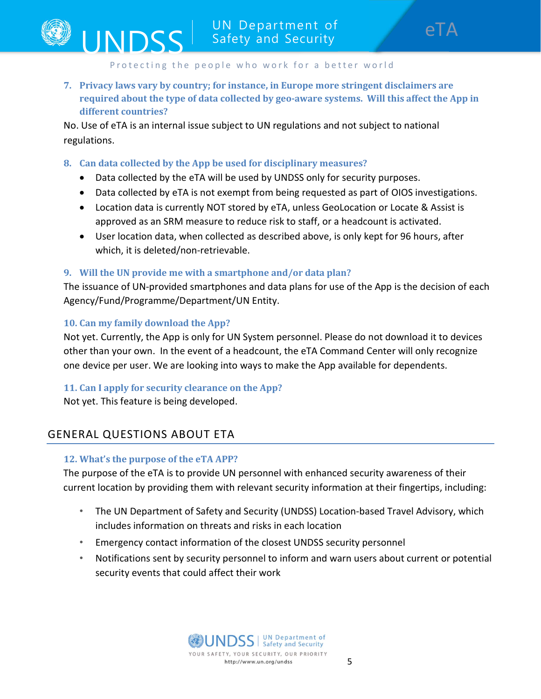7. Privacy laws vary by country; for instance, in Europe more stringent disclaimers are required about the type of data collected by geo-aware systems. Will this affect the App in different countries?

No. Use of eTA is an internal issue subject to UN regulations and not subject to national regulations.

### 8. Can data collected by the App be used for disciplinary measures?

- Data collected by the eTA will be used by UNDSS only for security purposes.
- Data collected by eTA is not exempt from being requested as part of OIOS investigations.
- Location data is currently NOT stored by eTA, unless GeoLocation or Locate & Assist is approved as an SRM measure to reduce risk to staff, or a headcount is activated.
- User location data, when collected as described above, is only kept for 96 hours, after which, it is deleted/non-retrievable.

### 9. Will the UN provide me with a smartphone and/or data plan?

The issuance of UN-provided smartphones and data plans for use of the App is the decision of each Agency/Fund/Programme/Department/UN Entity.

### 10. Can my family download the App?

**INDSS** 

Not yet. Currently, the App is only for UN System personnel. Please do not download it to devices other than your own. In the event of a headcount, the eTA Command Center will only recognize one device per user. We are looking into ways to make the App available for dependents.

# 11. Can I apply for security clearance on the App?

Not yet. This feature is being developed.

# GENERAL QUESTIONS ABOUT ETA

### 12. What's the purpose of the eTA APP?

The purpose of the eTA is to provide UN personnel with enhanced security awareness of their current location by providing them with relevant security information at their fingertips, including:

- The UN Department of Safety and Security (UNDSS) Location-based Travel Advisory, which includes information on threats and risks in each location
- Emergency contact information of the closest UNDSS security personnel
- Notifications sent by security personnel to inform and warn users about current or potential security events that could affect their work

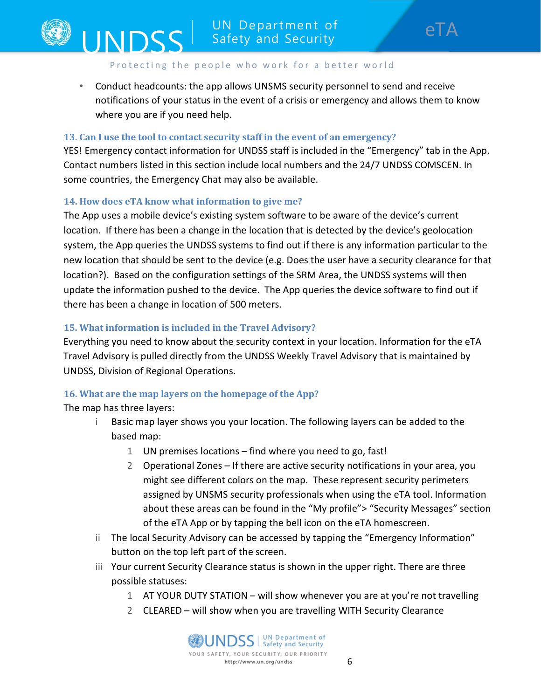• Conduct headcounts: the app allows UNSMS security personnel to send and receive notifications of your status in the event of a crisis or emergency and allows them to know where you are if you need help.

### 13. Can I use the tool to contact security staff in the event of an emergency?

YES! Emergency contact information for UNDSS staff is included in the "Emergency" tab in the App. Contact numbers listed in this section include local numbers and the 24/7 UNDSS COMSCEN. In some countries, the Emergency Chat may also be available.

### 14. How does eTA know what information to give me?

UNDSS<sup>I</sup>

The App uses a mobile device's existing system software to be aware of the device's current location. If there has been a change in the location that is detected by the device's geolocation system, the App queries the UNDSS systems to find out if there is any information particular to the new location that should be sent to the device (e.g. Does the user have a security clearance for that location?). Based on the configuration settings of the SRM Area, the UNDSS systems will then update the information pushed to the device. The App queries the device software to find out if there has been a change in location of 500 meters.

### 15. What information is included in the Travel Advisory?

Everything you need to know about the security context in your location. Information for the eTA Travel Advisory is pulled directly from the UNDSS Weekly Travel Advisory that is maintained by UNDSS, Division of Regional Operations.

### 16. What are the map layers on the homepage of the App?

The map has three layers:

- i Basic map layer shows you your location. The following layers can be added to the based map:
	- 1 UN premises locations find where you need to go, fast!
	- 2 Operational Zones If there are active security notifications in your area, you might see different colors on the map. These represent security perimeters assigned by UNSMS security professionals when using the eTA tool. Information about these areas can be found in the "My profile"> "Security Messages" section of the eTA App or by tapping the bell icon on the eTA homescreen.
- ii The local Security Advisory can be accessed by tapping the "Emergency Information" button on the top left part of the screen.
- iii Your current Security Clearance status is shown in the upper right. There are three possible statuses:
	- 1 AT YOUR DUTY STATION will show whenever you are at you're not travelling
	- 2 CLEARED will show when you are travelling WITH Security Clearance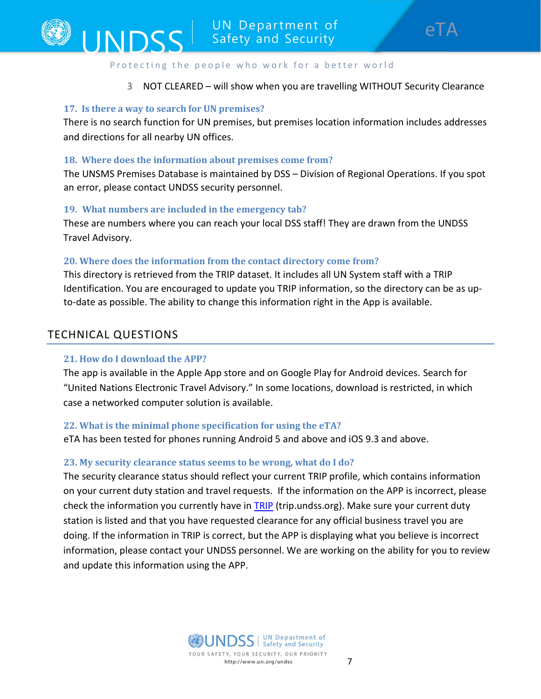

### 3 NOT CLEARED – will show when you are travelling WITHOUT Security Clearance

### 17. Is there a way to search for UN premises?

There is no search function for UN premises, but premises location information includes addresses and directions for all nearby UN offices.

### 18. Where does the information about premises come from?

The UNSMS Premises Database is maintained by DSS – Division of Regional Operations. If you spot an error, please contact UNDSS security personnel.

### 19. What numbers are included in the emergency tab?

These are numbers where you can reach your local DSS staff! They are drawn from the UNDSS Travel Advisory.

### 20. Where does the information from the contact directory come from?

This directory is retrieved from the TRIP dataset. It includes all UN System staff with a TRIP Identification. You are encouraged to update you TRIP information, so the directory can be as upto-date as possible. The ability to change this information right in the App is available.

# TECHNICAL QUESTIONS

### 21. How do I download the APP?

The app is available in the Apple App store and on Google Play for Android devices. Search for "United Nations Electronic Travel Advisory." In some locations, download is restricted, in which case a networked computer solution is available.

# 22. What is the minimal phone specification for using the eTA?

eTA has been tested for phones running Android 5 and above and iOS 9.3 and above.

### 23. My security clearance status seems to be wrong, what do I do?

The security clearance status should reflect your current TRIP profile, which contains information on your current duty station and travel requests. If the information on the APP is incorrect, please check the information you currently have in TRIP (trip.undss.org). Make sure your current duty station is listed and that you have requested clearance for any official business travel you are doing. If the information in TRIP is correct, but the APP is displaying what you believe is incorrect information, please contact your UNDSS personnel. We are working on the ability for you to review and update this information using the APP.

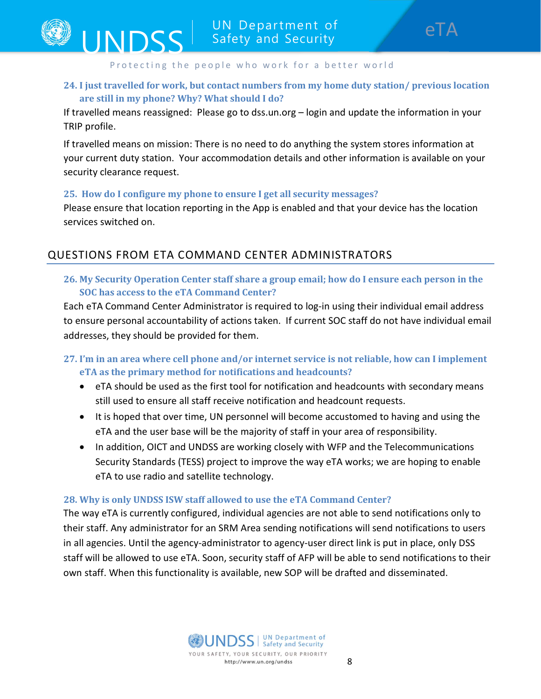# 24. I just travelled for work, but contact numbers from my home duty station/ previous location are still in my phone? Why? What should I do?

If travelled means reassigned: Please go to dss.un.org – login and update the information in your TRIP profile.

If travelled means on mission: There is no need to do anything the system stores information at your current duty station. Your accommodation details and other information is available on your security clearance request.

### 25. How do I configure my phone to ensure I get all security messages?

**INDSS** 

Please ensure that location reporting in the App is enabled and that your device has the location services switched on.

# QUESTIONS FROM ETA COMMAND CENTER ADMINISTRATORS

26. My Security Operation Center staff share a group email; how do I ensure each person in the SOC has access to the eTA Command Center?

Each eTA Command Center Administrator is required to log-in using their individual email address to ensure personal accountability of actions taken. If current SOC staff do not have individual email addresses, they should be provided for them.

# 27. I'm in an area where cell phone and/or internet service is not reliable, how can I implement eTA as the primary method for notifications and headcounts?

- eTA should be used as the first tool for notification and headcounts with secondary means still used to ensure all staff receive notification and headcount requests.
- It is hoped that over time, UN personnel will become accustomed to having and using the eTA and the user base will be the majority of staff in your area of responsibility.
- In addition, OICT and UNDSS are working closely with WFP and the Telecommunications Security Standards (TESS) project to improve the way eTA works; we are hoping to enable eTA to use radio and satellite technology.

### 28. Why is only UNDSS ISW staff allowed to use the eTA Command Center?

The way eTA is currently configured, individual agencies are not able to send notifications only to their staff. Any administrator for an SRM Area sending notifications will send notifications to users in all agencies. Until the agency-administrator to agency-user direct link is put in place, only DSS staff will be allowed to use eTA. Soon, security staff of AFP will be able to send notifications to their own staff. When this functionality is available, new SOP will be drafted and disseminated.

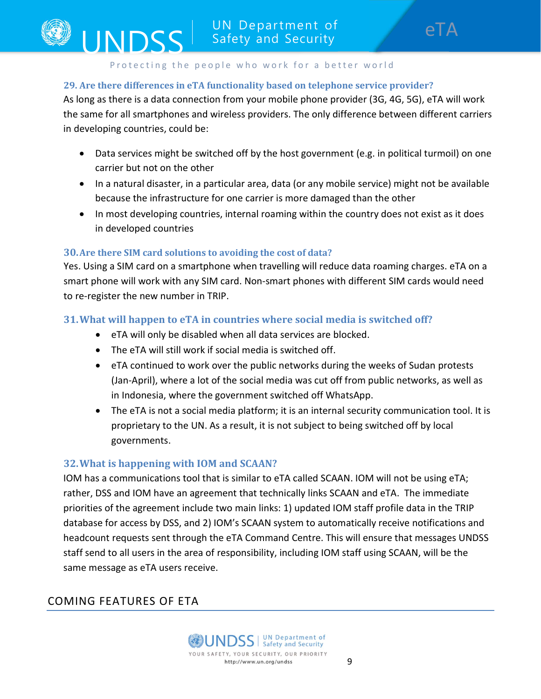### 29. Are there differences in eTA functionality based on telephone service provider?

As long as there is a data connection from your mobile phone provider (3G, 4G, 5G), eTA will work the same for all smartphones and wireless providers. The only difference between different carriers in developing countries, could be:

- Data services might be switched off by the host government (e.g. in political turmoil) on one carrier but not on the other
- In a natural disaster, in a particular area, data (or any mobile service) might not be available because the infrastructure for one carrier is more damaged than the other
- In most developing countries, internal roaming within the country does not exist as it does in developed countries

### 30.Are there SIM card solutions to avoiding the cost of data?

UNDSS

Yes. Using a SIM card on a smartphone when travelling will reduce data roaming charges. eTA on a smart phone will work with any SIM card. Non-smart phones with different SIM cards would need to re-register the new number in TRIP.

# 31.What will happen to eTA in countries where social media is switched off?

- eTA will only be disabled when all data services are blocked.
- The eTA will still work if social media is switched off.
- eTA continued to work over the public networks during the weeks of Sudan protests (Jan-April), where a lot of the social media was cut off from public networks, as well as in Indonesia, where the government switched off WhatsApp.
- The eTA is not a social media platform; it is an internal security communication tool. It is proprietary to the UN. As a result, it is not subject to being switched off by local governments.

### 32.What is happening with IOM and SCAAN?

IOM has a communications tool that is similar to eTA called SCAAN. IOM will not be using eTA; rather, DSS and IOM have an agreement that technically links SCAAN and eTA. The immediate priorities of the agreement include two main links: 1) updated IOM staff profile data in the TRIP database for access by DSS, and 2) IOM's SCAAN system to automatically receive notifications and headcount requests sent through the eTA Command Centre. This will ensure that messages UNDSS staff send to all users in the area of responsibility, including IOM staff using SCAAN, will be the same message as eTA users receive.

# COMING FEATURES OF ETA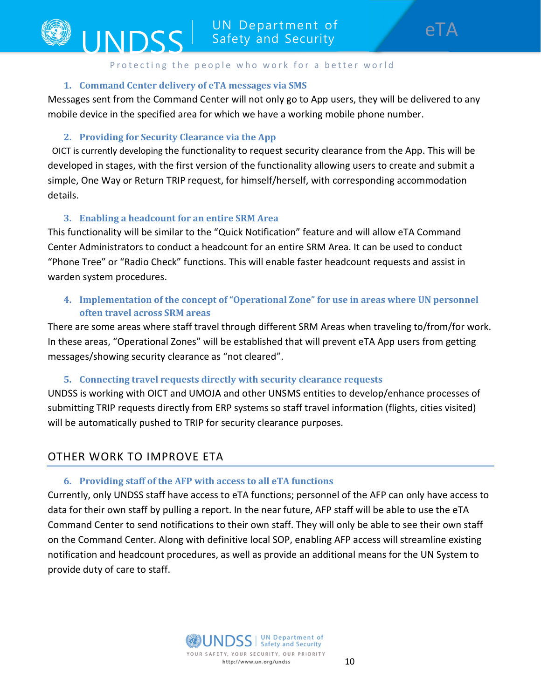### 1. Command Center delivery of eTA messages via SMS

Messages sent from the Command Center will not only go to App users, they will be delivered to any mobile device in the specified area for which we have a working mobile phone number.

### 2. Providing for Security Clearance via the App

UNDSS

 OICT is currently developing the functionality to request security clearance from the App. This will be developed in stages, with the first version of the functionality allowing users to create and submit a simple, One Way or Return TRIP request, for himself/herself, with corresponding accommodation details.

### 3. Enabling a headcount for an entire SRM Area

This functionality will be similar to the "Quick Notification" feature and will allow eTA Command Center Administrators to conduct a headcount for an entire SRM Area. It can be used to conduct "Phone Tree" or "Radio Check" functions. This will enable faster headcount requests and assist in warden system procedures.

# 4. Implementation of the concept of "Operational Zone" for use in areas where UN personnel often travel across SRM areas

There are some areas where staff travel through different SRM Areas when traveling to/from/for work. In these areas, "Operational Zones" will be established that will prevent eTA App users from getting messages/showing security clearance as "not cleared".

### 5. Connecting travel requests directly with security clearance requests

UNDSS is working with OICT and UMOJA and other UNSMS entities to develop/enhance processes of submitting TRIP requests directly from ERP systems so staff travel information (flights, cities visited) will be automatically pushed to TRIP for security clearance purposes.

# OTHER WORK TO IMPROVE ETA

### 6. Providing staff of the AFP with access to all eTA functions

Currently, only UNDSS staff have access to eTA functions; personnel of the AFP can only have access to data for their own staff by pulling a report. In the near future, AFP staff will be able to use the eTA Command Center to send notifications to their own staff. They will only be able to see their own staff on the Command Center. Along with definitive local SOP, enabling AFP access will streamline existing notification and headcount procedures, as well as provide an additional means for the UN System to provide duty of care to staff.